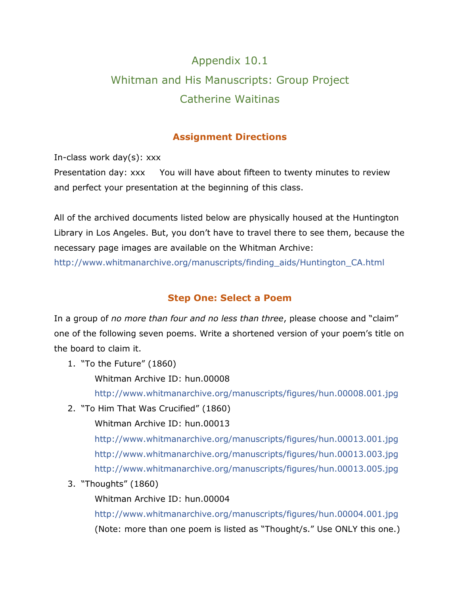# Appendix 10.1 Whitman and His Manuscripts: Group Project Catherine Waitinas

#### **Assignment Directions**

In-class work day(s): xxx

Presentation day: xxx You will have about fifteen to twenty minutes to review and perfect your presentation at the beginning of this class.

All of the archived documents listed below are physically housed at the Huntington Library in Los Angeles. But, you don't have to travel there to see them, because the necessary page images are available on the Whitman Archive:

[http://www.whitmanarchive.org/manuscripts/finding\\_aids/Huntington\\_CA.html](http://www.whitmanarchive.org/manuscripts/finding_aids/Huntington_CA.html)

### **Step One: Select a Poem**

In a group of *no more than four and no less than three*, please choose and "claim" one of the following seven poems. Write a shortened version of your poem's title on the board to claim it.

1. "To the Future" (1860)

Whitman Archive ID: hun.00008

<http://www.whitmanarchive.org/manuscripts/figures/hun.00008.001.jpg>

2. "To Him That Was Crucified" (1860)

Whitman Archive ID: hun.00013

<http://www.whitmanarchive.org/manuscripts/figures/hun.00013.001.jpg> <http://www.whitmanarchive.org/manuscripts/figures/hun.00013.003.jpg> <http://www.whitmanarchive.org/manuscripts/figures/hun.00013.005.jpg>

3. "Thoughts" (1860)

Whitman Archive ID: hun.00004

<http://www.whitmanarchive.org/manuscripts/figures/hun.00004.001.jpg> (Note: more than one poem is listed as "Thought/s." Use ONLY this one.)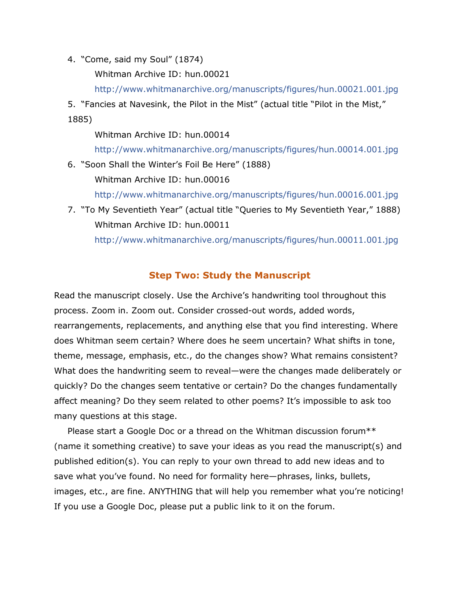4. "Come, said my Soul" (1874)

Whitman Archive ID: hun.00021

<http://www.whitmanarchive.org/manuscripts/figures/hun.00021.001.jpg>

5. "Fancies at Navesink, the Pilot in the Mist" (actual title "Pilot in the Mist," 1885)

Whitman Archive ID: hun.00014

<http://www.whitmanarchive.org/manuscripts/figures/hun.00014.001.jpg>

6. "Soon Shall the Winter's Foil Be Here" (1888) Whitman Archive ID: hun.00016

<http://www.whitmanarchive.org/manuscripts/figures/hun.00016.001.jpg>

7. "To My Seventieth Year" (actual title "Queries to My Seventieth Year," 1888) Whitman Archive ID: hun.00011

<http://www.whitmanarchive.org/manuscripts/figures/hun.00011.001.jpg>

#### **Step Two: Study the Manuscript**

Read the manuscript closely. Use the Archive's handwriting tool throughout this process. Zoom in. Zoom out. Consider crossed-out words, added words, rearrangements, replacements, and anything else that you find interesting. Where does Whitman seem certain? Where does he seem uncertain? What shifts in tone, theme, message, emphasis, etc., do the changes show? What remains consistent? What does the handwriting seem to reveal—were the changes made deliberately or quickly? Do the changes seem tentative or certain? Do the changes fundamentally affect meaning? Do they seem related to other poems? It's impossible to ask too many questions at this stage.

Please start a Google Doc or a thread on the Whitman discussion forum\*\* (name it something creative) to save your ideas as you read the manuscript(s) and published edition(s). You can reply to your own thread to add new ideas and to save what you've found. No need for formality here—phrases, links, bullets, images, etc., are fine. ANYTHING that will help you remember what you're noticing! If you use a Google Doc, please put a public link to it on the forum.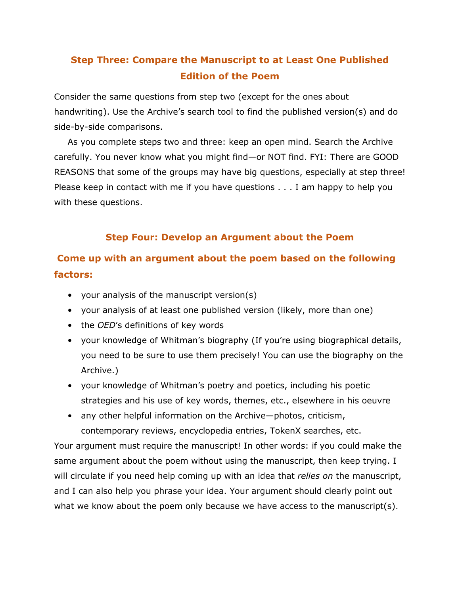# **Step Three: Compare the Manuscript to at Least One Published Edition of the Poem**

Consider the same questions from step two (except for the ones about handwriting). Use the Archive's search tool to find the published version(s) and do side-by-side comparisons.

As you complete steps two and three: keep an open mind. Search the Archive carefully. You never know what you might find—or NOT find. FYI: There are GOOD REASONS that some of the groups may have big questions, especially at step three! Please keep in contact with me if you have questions . . . I am happy to help you with these questions.

### **Step Four: Develop an Argument about the Poem**

# **Come up with an argument about the poem based on the following factors:**

- your analysis of the manuscript version(s)
- your analysis of at least one published version (likely, more than one)
- the *OED*'s definitions of key words
- your knowledge of Whitman's biography (If you're using biographical details, you need to be sure to use them precisely! You can use the biography on the Archive.)
- your knowledge of Whitman's poetry and poetics, including his poetic strategies and his use of key words, themes, etc., elsewhere in his oeuvre
- any other helpful information on the Archive—photos, criticism, contemporary reviews, encyclopedia entries, TokenX searches, etc.

Your argument must require the manuscript! In other words: if you could make the same argument about the poem without using the manuscript, then keep trying. I will circulate if you need help coming up with an idea that *relies on* the manuscript, and I can also help you phrase your idea. Your argument should clearly point out what we know about the poem only because we have access to the manuscript(s).